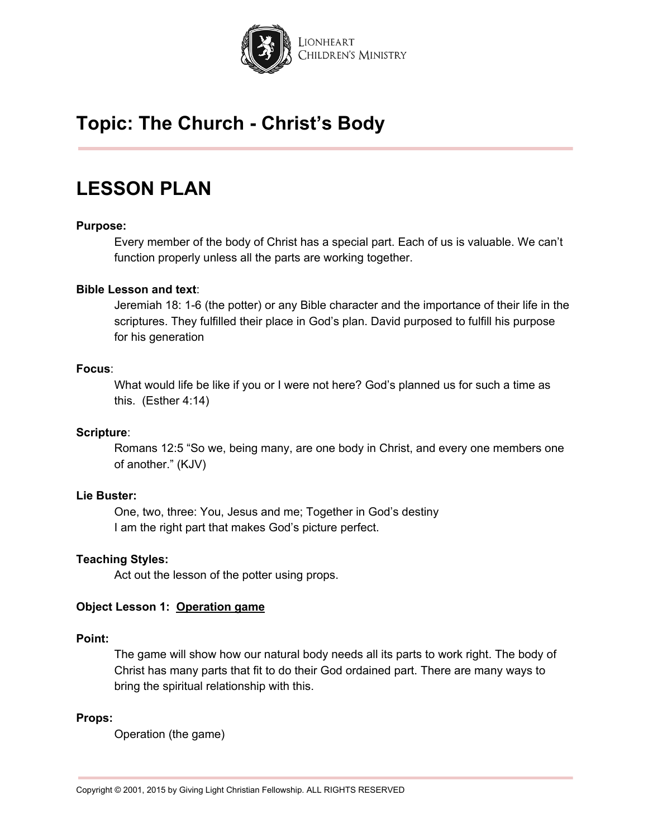

## **LESSON PLAN**

### **Purpose:**

Every member of the body of Christ has a special part. Each of us is valuable. We can't function properly unless all the parts are working together.

### **Bible Lesson and text**:

Jeremiah 18: 1-6 (the potter) or any Bible character and the importance of their life in the scriptures. They fulfilled their place in God's plan. David purposed to fulfill his purpose for his generation

#### **Focus**:

What would life be like if you or I were not here? God's planned us for such a time as this. (Esther 4:14)

#### **Scripture**:

Romans 12:5 "So we, being many, are one body in Christ, and every one members one of another." (KJV)

## **Lie Buster:**

One, two, three: You, Jesus and me; Together in God's destiny I am the right part that makes God's picture perfect.

#### **Teaching Styles:**

Act out the lesson of the potter using props.

### **Object Lesson 1: Operation game**

#### **Point:**

The game will show how our natural body needs all its parts to work right. The body of Christ has many parts that fit to do their God ordained part. There are many ways to bring the spiritual relationship with this.

#### **Props:**

Operation (the game)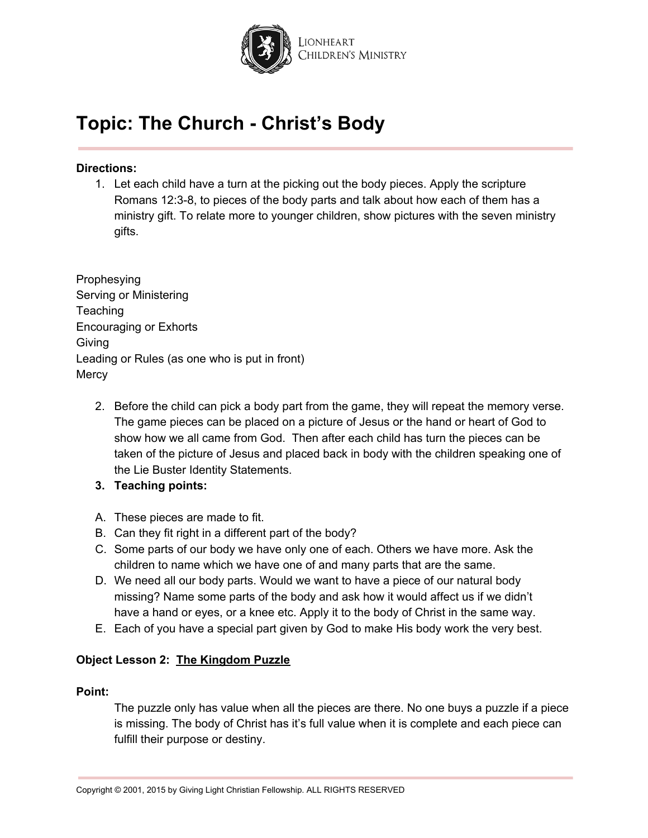

### **Directions:**

1. Let each child have a turn at the picking out the body pieces. Apply the scripture Romans 12:3-8, to pieces of the body parts and talk about how each of them has a ministry gift. To relate more to younger children, show pictures with the seven ministry gifts.

Prophesying Serving or Ministering **Teaching** Encouraging or Exhorts Giving Leading or Rules (as one who is put in front) **Mercy** 

- 2. Before the child can pick a body part from the game, they will repeat the memory verse. The game pieces can be placed on a picture of Jesus or the hand or heart of God to show how we all came from God. Then after each child has turn the pieces can be taken of the picture of Jesus and placed back in body with the children speaking one of the Lie Buster Identity Statements.
- **3. Teaching points:**
- A. These pieces are made to fit.
- B. Can they fit right in a different part of the body?
- C. Some parts of our body we have only one of each. Others we have more. Ask the children to name which we have one of and many parts that are the same.
- D. We need all our body parts. Would we want to have a piece of our natural body missing? Name some parts of the body and ask how it would affect us if we didn't have a hand or eyes, or a knee etc. Apply it to the body of Christ in the same way.
- E. Each of you have a special part given by God to make His body work the very best.

## **Object Lesson 2: The Kingdom Puzzle**

### **Point:**

The puzzle only has value when all the pieces are there. No one buys a puzzle if a piece is missing. The body of Christ has it's full value when it is complete and each piece can fulfill their purpose or destiny.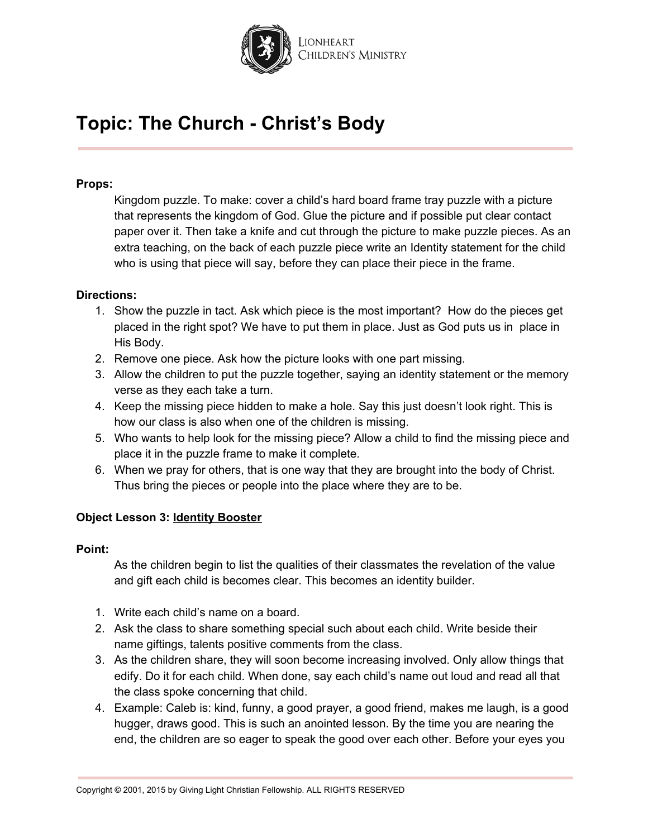

### **Props:**

Kingdom puzzle. To make: cover a child's hard board frame tray puzzle with a picture that represents the kingdom of God. Glue the picture and if possible put clear contact paper over it. Then take a knife and cut through the picture to make puzzle pieces. As an extra teaching, on the back of each puzzle piece write an Identity statement for the child who is using that piece will say, before they can place their piece in the frame.

### **Directions:**

- 1. Show the puzzle in tact. Ask which piece is the most important? How do the pieces get placed in the right spot? We have to put them in place. Just as God puts us in place in His Body.
- 2. Remove one piece. Ask how the picture looks with one part missing.
- 3. Allow the children to put the puzzle together, saying an identity statement or the memory verse as they each take a turn.
- 4. Keep the missing piece hidden to make a hole. Say this just doesn't look right. This is how our class is also when one of the children is missing.
- 5. Who wants to help look for the missing piece? Allow a child to find the missing piece and place it in the puzzle frame to make it complete.
- 6. When we pray for others, that is one way that they are brought into the body of Christ. Thus bring the pieces or people into the place where they are to be.

## **Object Lesson 3: Identity Booster**

### **Point:**

As the children begin to list the qualities of their classmates the revelation of the value and gift each child is becomes clear. This becomes an identity builder.

- 1. Write each child's name on a board.
- 2. Ask the class to share something special such about each child. Write beside their name giftings, talents positive comments from the class.
- 3. As the children share, they will soon become increasing involved. Only allow things that edify. Do it for each child. When done, say each child's name out loud and read all that the class spoke concerning that child.
- 4. Example: Caleb is: kind, funny, a good prayer, a good friend, makes me laugh, is a good hugger, draws good. This is such an anointed lesson. By the time you are nearing the end, the children are so eager to speak the good over each other. Before your eyes you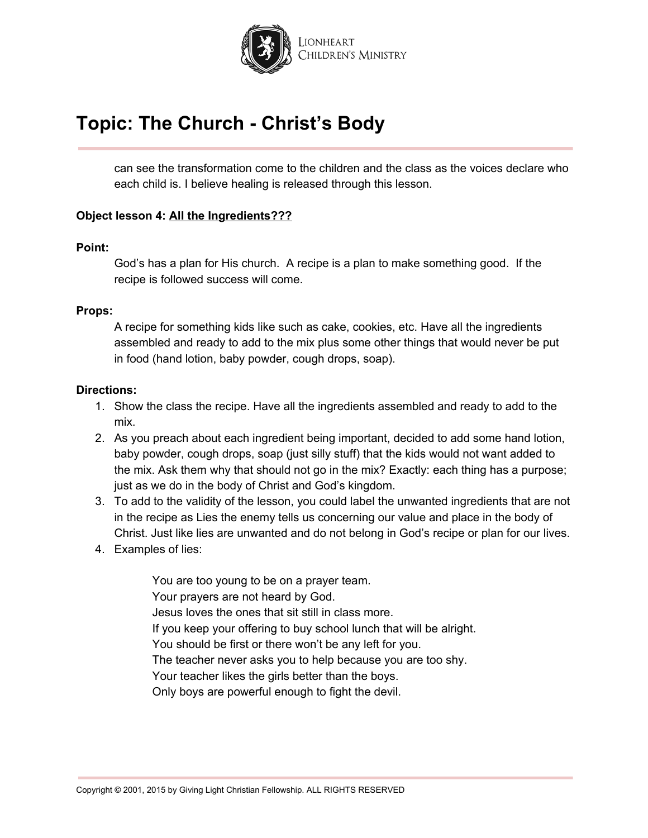

can see the transformation come to the children and the class as the voices declare who each child is. I believe healing is released through this lesson.

### **Object lesson 4: All the Ingredients???**

#### **Point:**

God's has a plan for His church. A recipe is a plan to make something good. If the recipe is followed success will come.

### **Props:**

A recipe for something kids like such as cake, cookies, etc. Have all the ingredients assembled and ready to add to the mix plus some other things that would never be put in food (hand lotion, baby powder, cough drops, soap).

#### **Directions:**

- 1. Show the class the recipe. Have all the ingredients assembled and ready to add to the mix.
- 2. As you preach about each ingredient being important, decided to add some hand lotion, baby powder, cough drops, soap (just silly stuff) that the kids would not want added to the mix. Ask them why that should not go in the mix? Exactly: each thing has a purpose; just as we do in the body of Christ and God's kingdom.
- 3. To add to the validity of the lesson, you could label the unwanted ingredients that are not in the recipe as Lies the enemy tells us concerning our value and place in the body of Christ. Just like lies are unwanted and do not belong in God's recipe or plan for our lives.
- 4. Examples of lies:

You are too young to be on a prayer team. Your prayers are not heard by God. Jesus loves the ones that sit still in class more. If you keep your offering to buy school lunch that will be alright. You should be first or there won't be any left for you. The teacher never asks you to help because you are too shy. Your teacher likes the girls better than the boys. Only boys are powerful enough to fight the devil.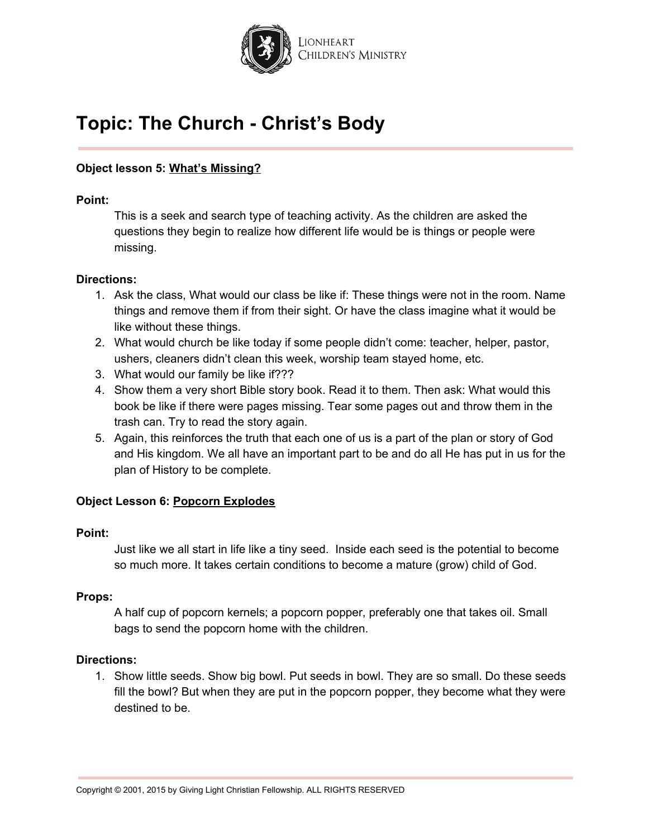

## **Object lesson 5: What's Missing?**

### **Point:**

This is a seek and search type of teaching activity. As the children are asked the questions they begin to realize how different life would be is things or people were missing.

### **Directions:**

- 1. Ask the class, What would our class be like if: These things were not in the room. Name things and remove them if from their sight. Or have the class imagine what it would be like without these things.
- 2. What would church be like today if some people didn't come: teacher, helper, pastor, ushers, cleaners didn't clean this week, worship team stayed home, etc.
- 3. What would our family be like if???
- 4. Show them a very short Bible story book. Read it to them. Then ask: What would this book be like if there were pages missing. Tear some pages out and throw them in the trash can. Try to read the story again.
- 5. Again, this reinforces the truth that each one of us is a part of the plan or story of God and His kingdom. We all have an important part to be and do all He has put in us for the plan of History to be complete.

## **Object Lesson 6: Popcorn Explodes**

## **Point:**

Just like we all start in life like a tiny seed. Inside each seed is the potential to become so much more. It takes certain conditions to become a mature (grow) child of God.

### **Props:**

A half cup of popcorn kernels; a popcorn popper, preferably one that takes oil. Small bags to send the popcorn home with the children.

### **Directions:**

1. Show little seeds. Show big bowl. Put seeds in bowl. They are so small. Do these seeds fill the bowl? But when they are put in the popcorn popper, they become what they were destined to be.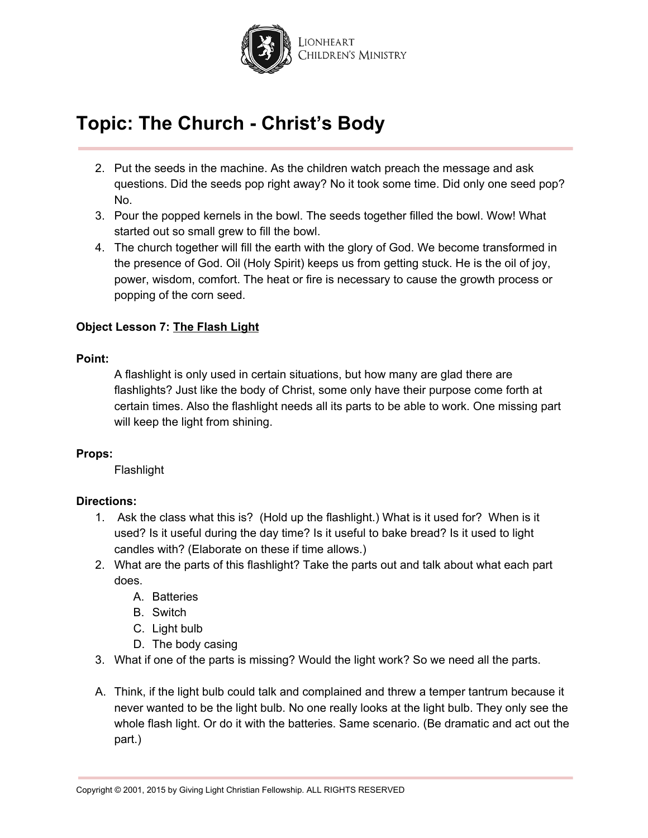

- 2. Put the seeds in the machine. As the children watch preach the message and ask questions. Did the seeds pop right away? No it took some time. Did only one seed pop? No.
- 3. Pour the popped kernels in the bowl. The seeds together filled the bowl. Wow! What started out so small grew to fill the bowl.
- 4. The church together will fill the earth with the glory of God. We become transformed in the presence of God. Oil (Holy Spirit) keeps us from getting stuck. He is the oil of joy, power, wisdom, comfort. The heat or fire is necessary to cause the growth process or popping of the corn seed.

## **Object Lesson 7: The Flash Light**

### **Point:**

A flashlight is only used in certain situations, but how many are glad there are flashlights? Just like the body of Christ, some only have their purpose come forth at certain times. Also the flashlight needs all its parts to be able to work. One missing part will keep the light from shining.

## **Props:**

Flashlight

## **Directions:**

- 1. Ask the class what this is? (Hold up the flashlight.) What is it used for? When is it used? Is it useful during the day time? Is it useful to bake bread? Is it used to light candles with? (Elaborate on these if time allows.)
- 2. What are the parts of this flashlight? Take the parts out and talk about what each part does.
	- A. Batteries
	- B. Switch
	- C. Light bulb
	- D. The body casing
- 3. What if one of the parts is missing? Would the light work? So we need all the parts.
- A. Think, if the light bulb could talk and complained and threw a temper tantrum because it never wanted to be the light bulb. No one really looks at the light bulb. They only see the whole flash light. Or do it with the batteries. Same scenario. (Be dramatic and act out the part.)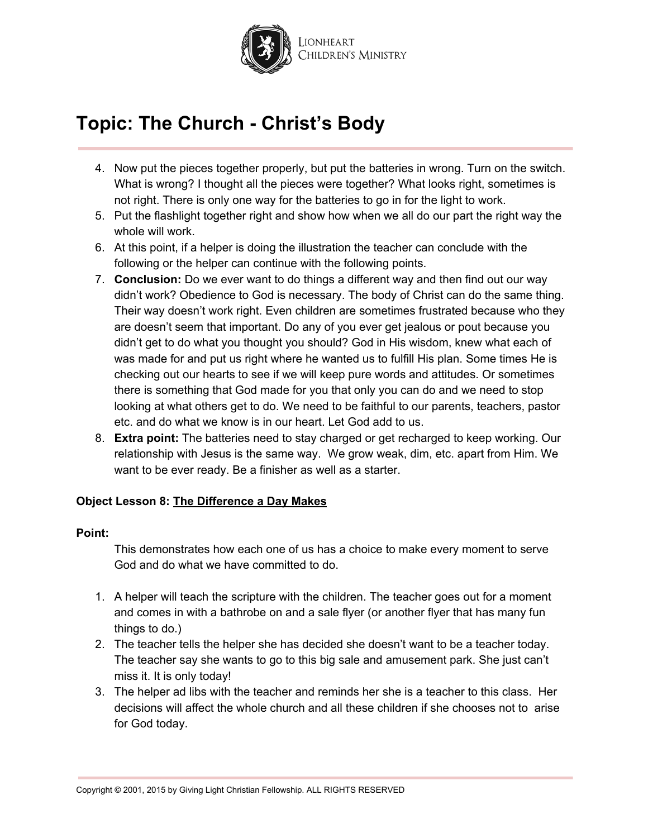

- 4. Now put the pieces together properly, but put the batteries in wrong. Turn on the switch. What is wrong? I thought all the pieces were together? What looks right, sometimes is not right. There is only one way for the batteries to go in for the light to work.
- 5. Put the flashlight together right and show how when we all do our part the right way the whole will work.
- 6. At this point, if a helper is doing the illustration the teacher can conclude with the following or the helper can continue with the following points.
- 7. **Conclusion:** Do we ever want to do things a different way and then find out our way didn't work? Obedience to God is necessary. The body of Christ can do the same thing. Their way doesn't work right. Even children are sometimes frustrated because who they are doesn't seem that important. Do any of you ever get jealous or pout because you didn't get to do what you thought you should? God in His wisdom, knew what each of was made for and put us right where he wanted us to fulfill His plan. Some times He is checking out our hearts to see if we will keep pure words and attitudes. Or sometimes there is something that God made for you that only you can do and we need to stop looking at what others get to do. We need to be faithful to our parents, teachers, pastor etc. and do what we know is in our heart. Let God add to us.
- 8. **Extra point:** The batteries need to stay charged or get recharged to keep working. Our relationship with Jesus is the same way. We grow weak, dim, etc. apart from Him. We want to be ever ready. Be a finisher as well as a starter.

## **Object Lesson 8: The Difference a Day Makes**

#### **Point:**

This demonstrates how each one of us has a choice to make every moment to serve God and do what we have committed to do.

- 1. A helper will teach the scripture with the children. The teacher goes out for a moment and comes in with a bathrobe on and a sale flyer (or another flyer that has many fun things to do.)
- 2. The teacher tells the helper she has decided she doesn't want to be a teacher today. The teacher say she wants to go to this big sale and amusement park. She just can't miss it. It is only today!
- 3. The helper ad libs with the teacher and reminds her she is a teacher to this class. Her decisions will affect the whole church and all these children if she chooses not to arise for God today.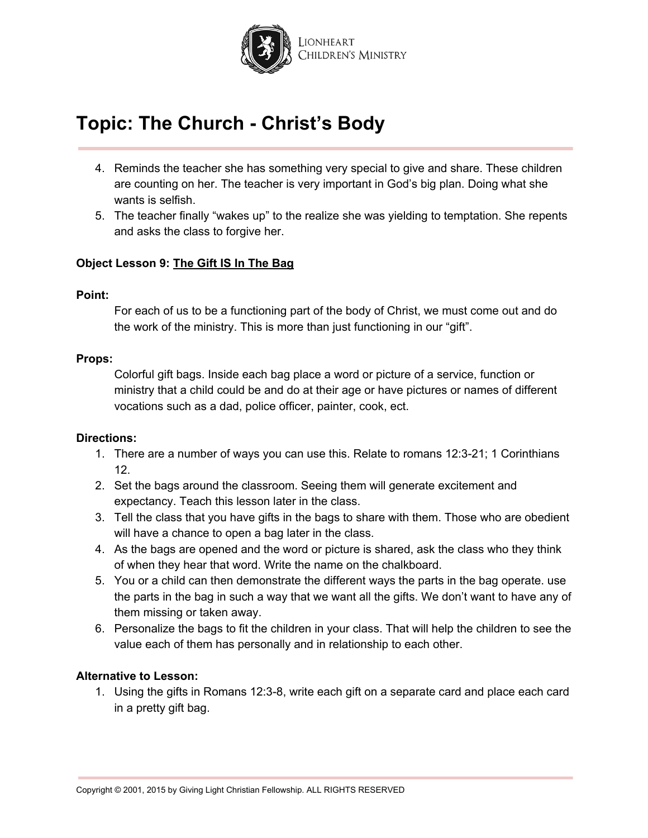

- 4. Reminds the teacher she has something very special to give and share. These children are counting on her. The teacher is very important in God's big plan. Doing what she wants is selfish.
- 5. The teacher finally "wakes up" to the realize she was yielding to temptation. She repents and asks the class to forgive her.

### **Object Lesson 9: The Gift IS In The Bag**

### **Point:**

For each of us to be a functioning part of the body of Christ, we must come out and do the work of the ministry. This is more than just functioning in our "gift".

### **Props:**

Colorful gift bags. Inside each bag place a word or picture of a service, function or ministry that a child could be and do at their age or have pictures or names of different vocations such as a dad, police officer, painter, cook, ect.

### **Directions:**

- 1. There are a number of ways you can use this. Relate to romans 12:3-21; 1 Corinthians 12.
- 2. Set the bags around the classroom. Seeing them will generate excitement and expectancy. Teach this lesson later in the class.
- 3. Tell the class that you have gifts in the bags to share with them. Those who are obedient will have a chance to open a bag later in the class.
- 4. As the bags are opened and the word or picture is shared, ask the class who they think of when they hear that word. Write the name on the chalkboard.
- 5. You or a child can then demonstrate the different ways the parts in the bag operate. use the parts in the bag in such a way that we want all the gifts. We don't want to have any of them missing or taken away.
- 6. Personalize the bags to fit the children in your class. That will help the children to see the value each of them has personally and in relationship to each other.

### **Alternative to Lesson:**

1. Using the gifts in Romans 12:3-8, write each gift on a separate card and place each card in a pretty gift bag.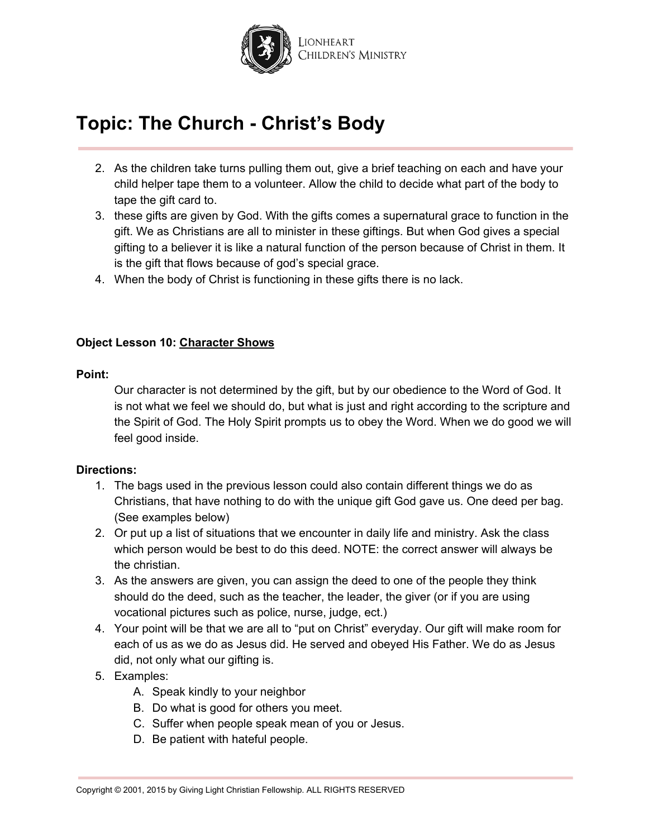

- 2. As the children take turns pulling them out, give a brief teaching on each and have your child helper tape them to a volunteer. Allow the child to decide what part of the body to tape the gift card to.
- 3. these gifts are given by God. With the gifts comes a supernatural grace to function in the gift. We as Christians are all to minister in these giftings. But when God gives a special gifting to a believer it is like a natural function of the person because of Christ in them. It is the gift that flows because of god's special grace.
- 4. When the body of Christ is functioning in these gifts there is no lack.

### **Object Lesson 10: Character Shows**

### **Point:**

Our character is not determined by the gift, but by our obedience to the Word of God. It is not what we feel we should do, but what is just and right according to the scripture and the Spirit of God. The Holy Spirit prompts us to obey the Word. When we do good we will feel good inside.

### **Directions:**

- 1. The bags used in the previous lesson could also contain different things we do as Christians, that have nothing to do with the unique gift God gave us. One deed per bag. (See examples below)
- 2. Or put up a list of situations that we encounter in daily life and ministry. Ask the class which person would be best to do this deed. NOTE: the correct answer will always be the christian.
- 3. As the answers are given, you can assign the deed to one of the people they think should do the deed, such as the teacher, the leader, the giver (or if you are using vocational pictures such as police, nurse, judge, ect.)
- 4. Your point will be that we are all to "put on Christ" everyday. Our gift will make room for each of us as we do as Jesus did. He served and obeyed His Father. We do as Jesus did, not only what our gifting is.
- 5. Examples:
	- A. Speak kindly to your neighbor
	- B. Do what is good for others you meet.
	- C. Suffer when people speak mean of you or Jesus.
	- D. Be patient with hateful people.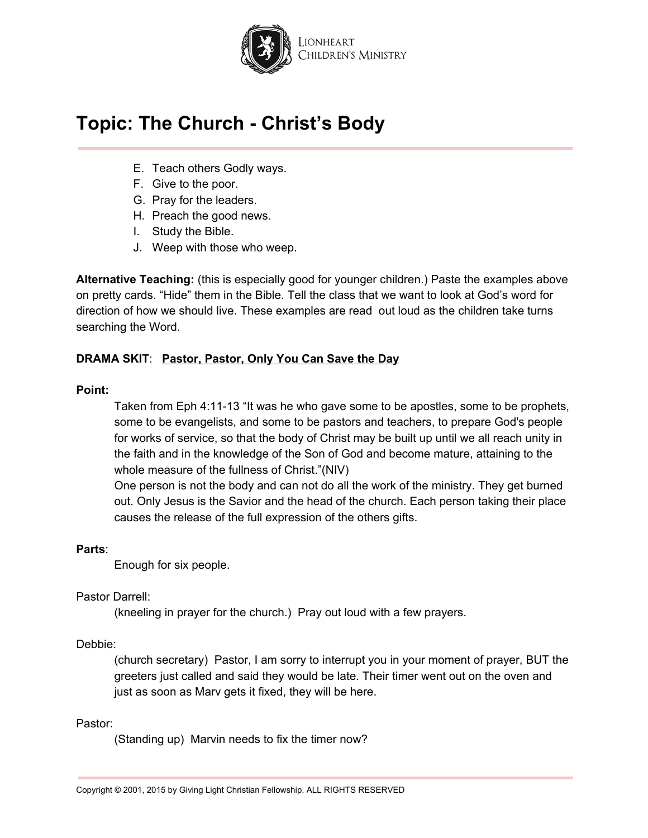

- E. Teach others Godly ways.
- F. Give to the poor.
- G. Pray for the leaders.
- H. Preach the good news.
- I. Study the Bible.
- J. Weep with those who weep.

**Alternative Teaching:** (this is especially good for younger children.) Paste the examples above on pretty cards. "Hide" them in the Bible. Tell the class that we want to look at God's word for direction of how we should live. These examples are read out loud as the children take turns searching the Word.

## **DRAMA SKIT**: **Pastor, Pastor, Only You Can Save the Day**

### **Point:**

Taken from Eph 4:11-13 "It was he who gave some to be apostles, some to be prophets, some to be evangelists, and some to be pastors and teachers, to prepare God's people for works of service, so that the body of Christ may be built up until we all reach unity in the faith and in the knowledge of the Son of God and become mature, attaining to the whole measure of the fullness of Christ."(NIV)

One person is not the body and can not do all the work of the ministry. They get burned out. Only Jesus is the Savior and the head of the church. Each person taking their place causes the release of the full expression of the others gifts.

## **Parts**:

Enough for six people.

## Pastor Darrell:

(kneeling in prayer for the church.) Pray out loud with a few prayers.

### Debbie:

(church secretary) Pastor, I am sorry to interrupt you in your moment of prayer, BUT the greeters just called and said they would be late. Their timer went out on the oven and just as soon as Marv gets it fixed, they will be here.

### Pastor:

(Standing up) Marvin needs to fix the timer now?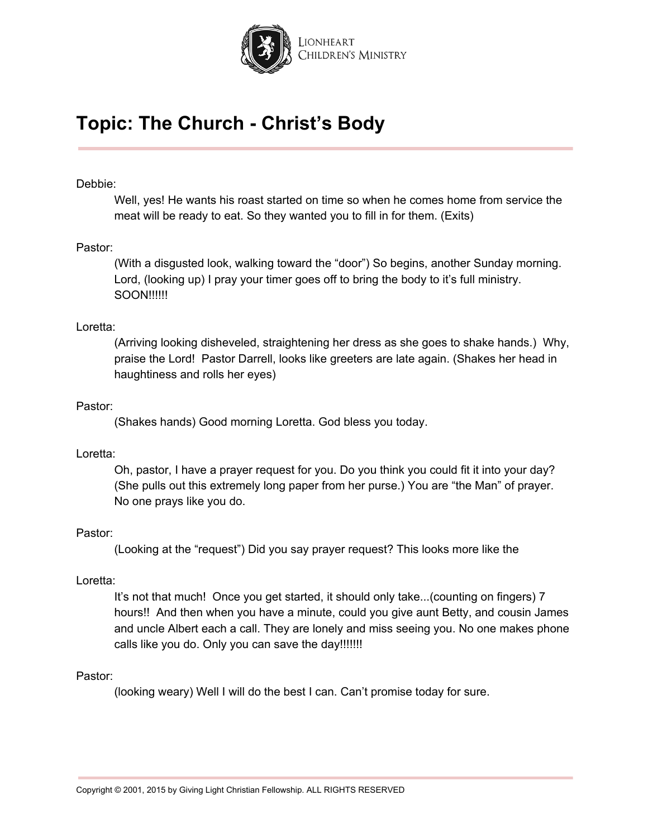

#### Debbie:

Well, yes! He wants his roast started on time so when he comes home from service the meat will be ready to eat. So they wanted you to fill in for them. (Exits)

#### Pastor:

(With a disgusted look, walking toward the "door") So begins, another Sunday morning. Lord, (looking up) I pray your timer goes off to bring the body to it's full ministry. SOON!!!!!!

### Loretta:

(Arriving looking disheveled, straightening her dress as she goes to shake hands.) Why, praise the Lord! Pastor Darrell, looks like greeters are late again. (Shakes her head in haughtiness and rolls her eyes)

#### Pastor:

(Shakes hands) Good morning Loretta. God bless you today.

### Loretta:

Oh, pastor, I have a prayer request for you. Do you think you could fit it into your day? (She pulls out this extremely long paper from her purse.) You are "the Man" of prayer. No one prays like you do.

### Pastor:

(Looking at the "request") Did you say prayer request? This looks more like the

#### Loretta:

It's not that much! Once you get started, it should only take...(counting on fingers) 7 hours!! And then when you have a minute, could you give aunt Betty, and cousin James and uncle Albert each a call. They are lonely and miss seeing you. No one makes phone calls like you do. Only you can save the day!!!!!!!!

#### Pastor:

(looking weary) Well I will do the best I can. Can't promise today for sure.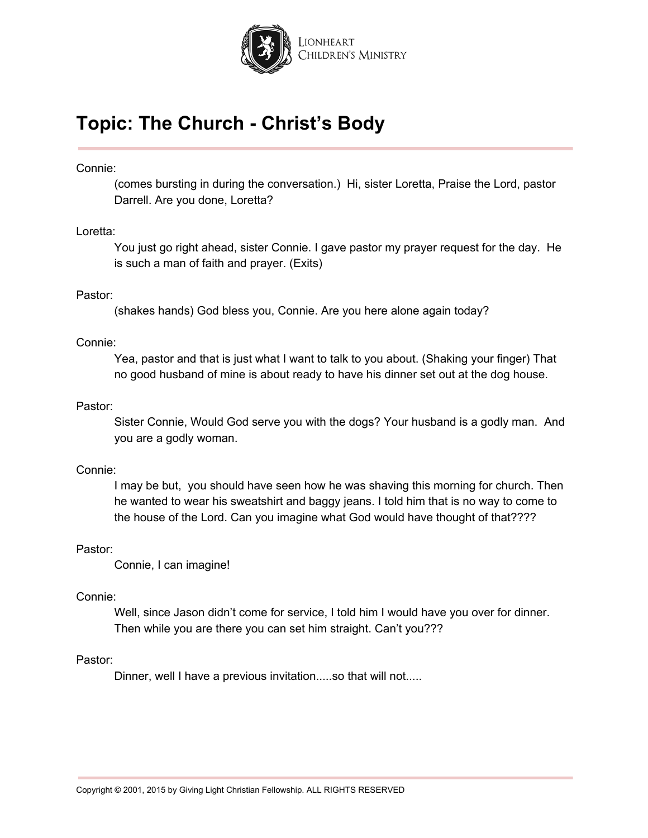

### Connie:

(comes bursting in during the conversation.) Hi, sister Loretta, Praise the Lord, pastor Darrell. Are you done, Loretta?

### Loretta:

You just go right ahead, sister Connie. I gave pastor my prayer request for the day. He is such a man of faith and prayer. (Exits)

## Pastor:

(shakes hands) God bless you, Connie. Are you here alone again today?

### Connie:

Yea, pastor and that is just what I want to talk to you about. (Shaking your finger) That no good husband of mine is about ready to have his dinner set out at the dog house.

### Pastor:

Sister Connie, Would God serve you with the dogs? Your husband is a godly man. And you are a godly woman.

### Connie:

I may be but, you should have seen how he was shaving this morning for church. Then he wanted to wear his sweatshirt and baggy jeans. I told him that is no way to come to the house of the Lord. Can you imagine what God would have thought of that????

## Pastor:

Connie, I can imagine!

### Connie:

Well, since Jason didn't come for service, I told him I would have you over for dinner. Then while you are there you can set him straight. Can't you???

### Pastor:

Dinner, well I have a previous invitation.....so that will not.....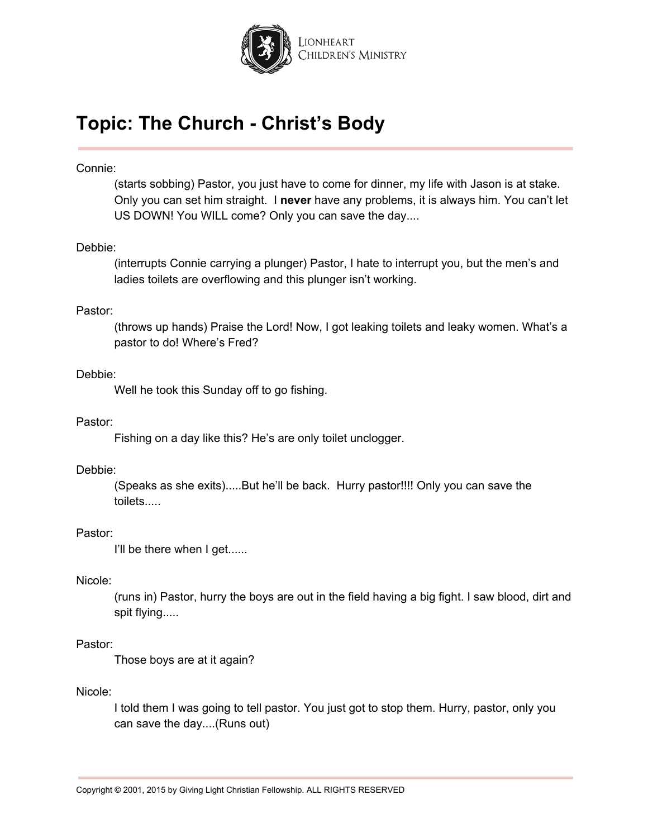

### Connie:

(starts sobbing) Pastor, you just have to come for dinner, my life with Jason is at stake. Only you can set him straight. I **never** have any problems, it is always him. You can't let US DOWN! You WILL come? Only you can save the day....

#### Debbie:

(interrupts Connie carrying a plunger) Pastor, I hate to interrupt you, but the men's and ladies toilets are overflowing and this plunger isn't working.

#### Pastor:

(throws up hands) Praise the Lord! Now, I got leaking toilets and leaky women. What's a pastor to do! Where's Fred?

#### Debbie:

Well he took this Sunday off to go fishing.

#### Pastor:

Fishing on a day like this? He's are only toilet unclogger.

#### Debbie:

(Speaks as she exits).....But he'll be back. Hurry pastor!!!! Only you can save the toilets.....

### Pastor:

I'll be there when I get......

#### Nicole:

(runs in) Pastor, hurry the boys are out in the field having a big fight. I saw blood, dirt and spit flying.....

#### Pastor:

Those boys are at it again?

#### Nicole:

I told them I was going to tell pastor. You just got to stop them. Hurry, pastor, only you can save the day....(Runs out)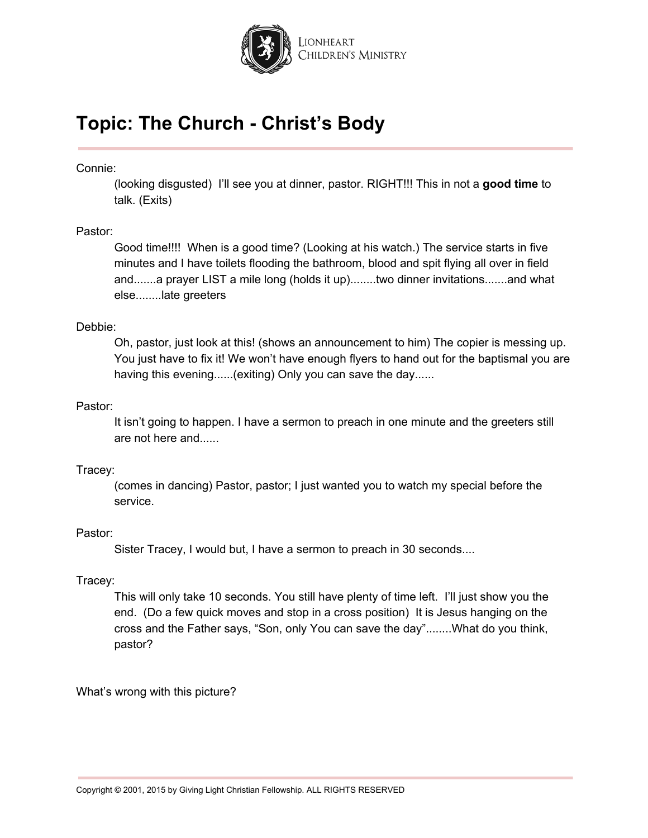

Connie:

(looking disgusted) I'll see you at dinner, pastor. RIGHT!!! This in not a **good time** to talk. (Exits)

### Pastor:

Good time!!!! When is a good time? (Looking at his watch.) The service starts in five minutes and I have toilets flooding the bathroom, blood and spit flying all over in field and.......a prayer LIST a mile long (holds it up)........two dinner invitations.......and what else........late greeters

### Debbie:

Oh, pastor, just look at this! (shows an announcement to him) The copier is messing up. You just have to fix it! We won't have enough flyers to hand out for the baptismal you are having this evening......(exiting) Only you can save the day......

### Pastor:

It isn't going to happen. I have a sermon to preach in one minute and the greeters still are not here and......

### Tracey:

(comes in dancing) Pastor, pastor; I just wanted you to watch my special before the service.

### Pastor:

Sister Tracey, I would but, I have a sermon to preach in 30 seconds....

## Tracey:

This will only take 10 seconds. You still have plenty of time left. I'll just show you the end. (Do a few quick moves and stop in a cross position) It is Jesus hanging on the cross and the Father says, "Son, only You can save the day"........What do you think, pastor?

What's wrong with this picture?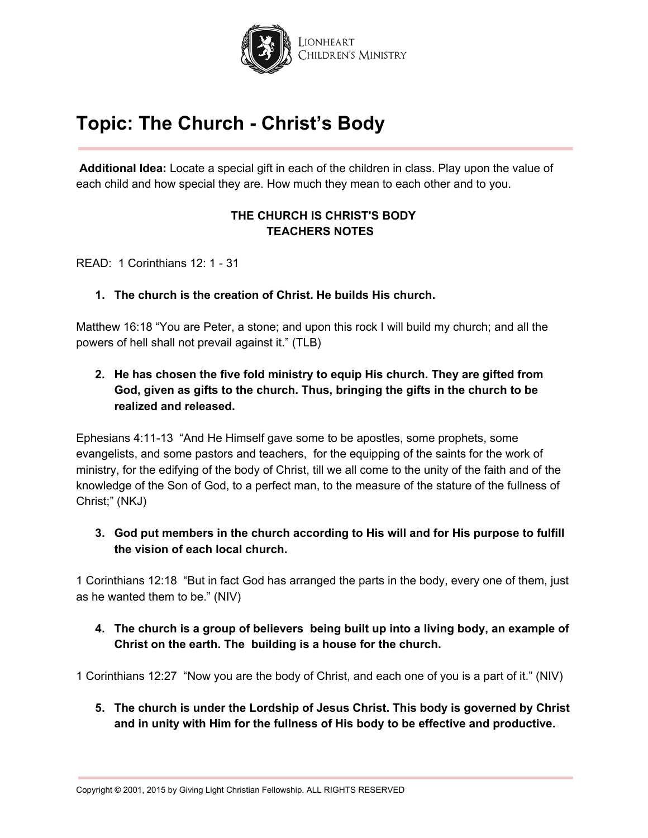

**Additional Idea:** Locate a special gift in each of the children in class. Play upon the value of each child and how special they are. How much they mean to each other and to you.

## **THE CHURCH IS CHRIST'S BODY TEACHERS NOTES**

READ: 1 Corinthians 12: 1 - 31

## **1. The church is the creation of Christ. He builds His church.**

Matthew 16:18 "You are Peter, a stone; and upon this rock I will build my church; and all the powers of hell shall not prevail against it." (TLB)

## **2. He has chosen the five fold ministry to equip His church. They are gifted from God, given as gifts to the church. Thus, bringing the gifts in the church to be realized and released.**

Ephesians 4:11-13 "And He Himself gave some to be apostles, some prophets, some evangelists, and some pastors and teachers, for the equipping of the saints for the work of ministry, for the edifying of the body of Christ, till we all come to the unity of the faith and of the knowledge of the Son of God, to a perfect man, to the measure of the stature of the fullness of Christ;" (NKJ)

**3. God put members in the church according to His will and for His purpose to fulfill the vision of each local church.**

1 Corinthians 12:18 "But in fact God has arranged the parts in the body, every one of them, just as he wanted them to be." (NIV)

**4. The church is a group of believers being built up into a living body, an example of Christ on the earth. The building is a house for the church.**

1 Corinthians 12:27 "Now you are the body of Christ, and each one of you is a part of it." (NIV)

**5. The church is under the Lordship of Jesus Christ. This body is governed by Christ and in unity with Him for the fullness of His body to be effective and productive.**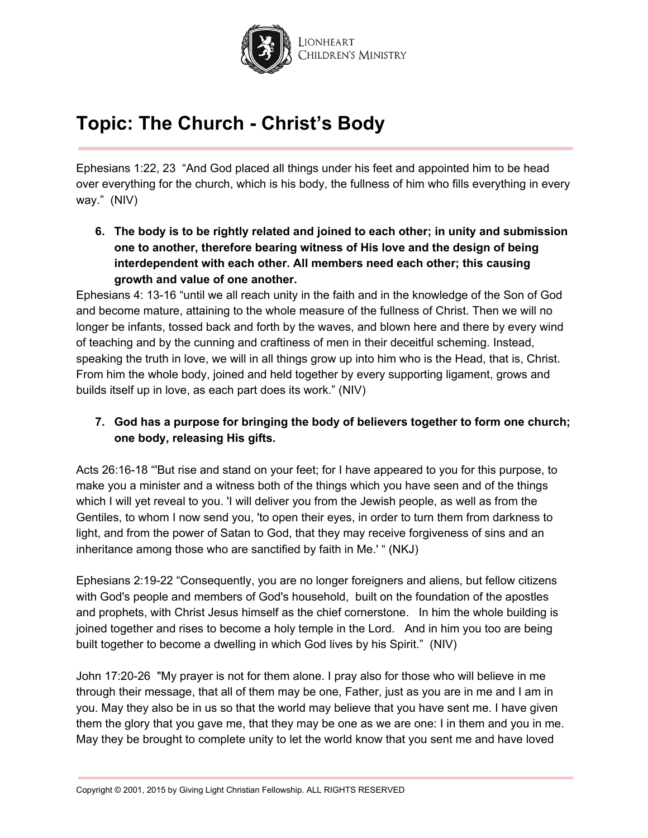

Ephesians 1:22, 23 "And God placed all things under his feet and appointed him to be head over everything for the church, which is his body, the fullness of him who fills everything in every way." (NIV)

**6. The body is to be rightly related and joined to each other; in unity and submission one to another, therefore bearing witness of His love and the design of being interdependent with each other. All members need each other; this causing growth and value of one another.**

Ephesians 4: 13-16 "until we all reach unity in the faith and in the knowledge of the Son of God and become mature, attaining to the whole measure of the fullness of Christ. Then we will no longer be infants, tossed back and forth by the waves, and blown here and there by every wind of teaching and by the cunning and craftiness of men in their deceitful scheming. Instead, speaking the truth in love, we will in all things grow up into him who is the Head, that is, Christ. From him the whole body, joined and held together by every supporting ligament, grows and builds itself up in love, as each part does its work." (NIV)

## **7. God has a purpose for bringing the body of believers together to form one church; one body, releasing His gifts.**

Acts 26:16-18 "'But rise and stand on your feet; for I have appeared to you for this purpose, to make you a minister and a witness both of the things which you have seen and of the things which I will yet reveal to you. 'I will deliver you from the Jewish people, as well as from the Gentiles, to whom I now send you, 'to open their eyes, in order to turn them from darkness to light, and from the power of Satan to God, that they may receive forgiveness of sins and an inheritance among those who are sanctified by faith in Me.' " (NKJ)

Ephesians 2:19-22 "Consequently, you are no longer foreigners and aliens, but fellow citizens with God's people and members of God's household, built on the foundation of the apostles and prophets, with Christ Jesus himself as the chief cornerstone. In him the whole building is joined together and rises to become a holy temple in the Lord. And in him you too are being built together to become a dwelling in which God lives by his Spirit." (NIV)

John 17:20-26 "My prayer is not for them alone. I pray also for those who will believe in me through their message, that all of them may be one, Father, just as you are in me and I am in you. May they also be in us so that the world may believe that you have sent me. I have given them the glory that you gave me, that they may be one as we are one: I in them and you in me. May they be brought to complete unity to let the world know that you sent me and have loved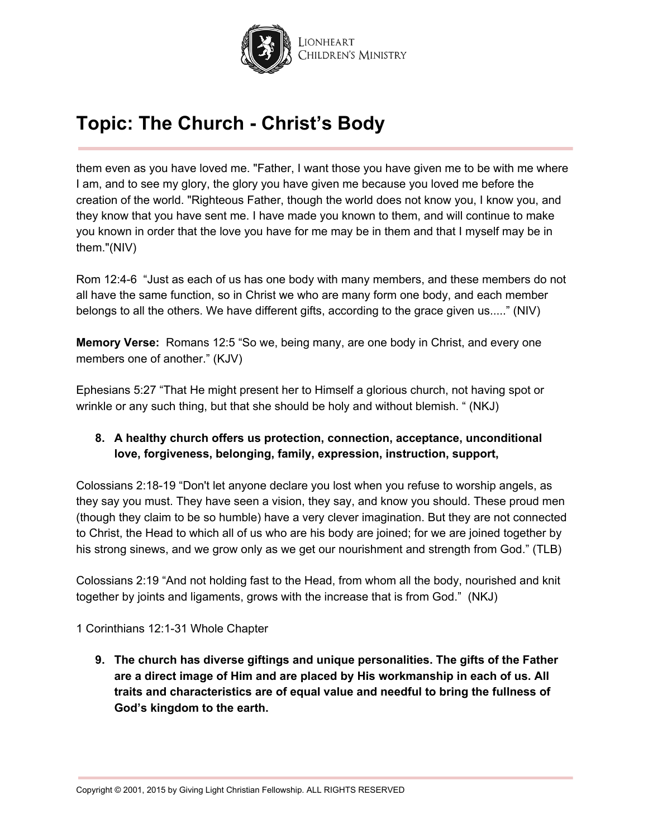

them even as you have loved me. "Father, I want those you have given me to be with me where I am, and to see my glory, the glory you have given me because you loved me before the creation of the world. "Righteous Father, though the world does not know you, I know you, and they know that you have sent me. I have made you known to them, and will continue to make you known in order that the love you have for me may be in them and that I myself may be in them."(NIV)

Rom 12:4-6 "Just as each of us has one body with many members, and these members do not all have the same function, so in Christ we who are many form one body, and each member belongs to all the others. We have different gifts, according to the grace given us....." (NIV)

**Memory Verse:** Romans 12:5 "So we, being many, are one body in Christ, and every one members one of another." (KJV)

Ephesians 5:27 "That He might present her to Himself a glorious church, not having spot or wrinkle or any such thing, but that she should be holy and without blemish. " (NKJ)

## **8. A healthy church offers us protection, connection, acceptance, unconditional love, forgiveness, belonging, family, expression, instruction, support,**

Colossians 2:18-19 "Don't let anyone declare you lost when you refuse to worship angels, as they say you must. They have seen a vision, they say, and know you should. These proud men (though they claim to be so humble) have a very clever imagination. But they are not connected to Christ, the Head to which all of us who are his body are joined; for we are joined together by his strong sinews, and we grow only as we get our nourishment and strength from God." (TLB)

Colossians 2:19 "And not holding fast to the Head, from whom all the body, nourished and knit together by joints and ligaments, grows with the increase that is from God." (NKJ)

1 Corinthians 12:1-31 Whole Chapter

**9. The church has diverse giftings and unique personalities. The gifts of the Father are a direct image of Him and are placed by His workmanship in each of us. All traits and characteristics are of equal value and needful to bring the fullness of God's kingdom to the earth.**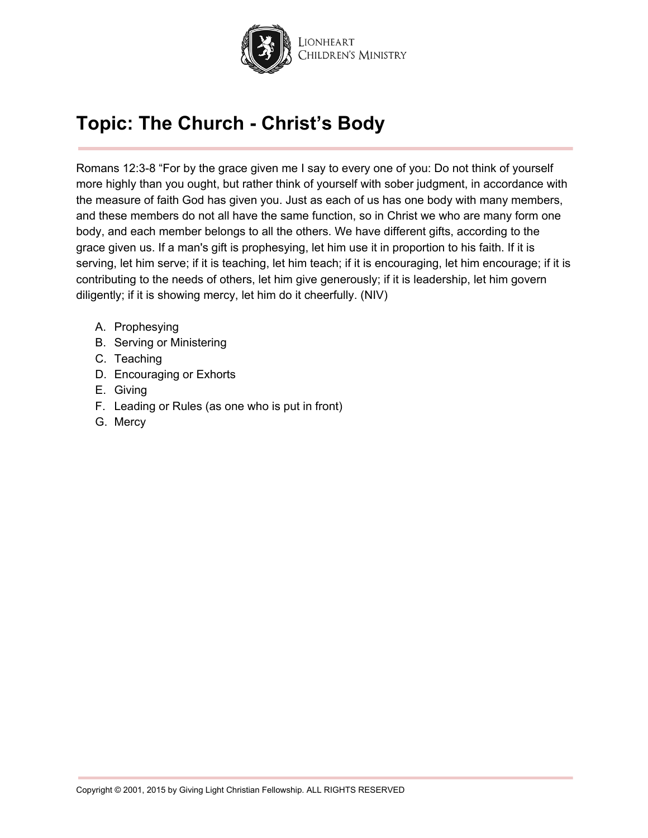

Romans 12:3-8 "For by the grace given me I say to every one of you: Do not think of yourself more highly than you ought, but rather think of yourself with sober judgment, in accordance with the measure of faith God has given you. Just as each of us has one body with many members, and these members do not all have the same function, so in Christ we who are many form one body, and each member belongs to all the others. We have different gifts, according to the grace given us. If a man's gift is prophesying, let him use it in proportion to his faith. If it is serving, let him serve; if it is teaching, let him teach; if it is encouraging, let him encourage; if it is contributing to the needs of others, let him give generously; if it is leadership, let him govern diligently; if it is showing mercy, let him do it cheerfully. (NIV)

- A. Prophesying
- B. Serving or Ministering
- C. Teaching
- D. Encouraging or Exhorts
- E. Giving
- F. Leading or Rules (as one who is put in front)
- G. Mercy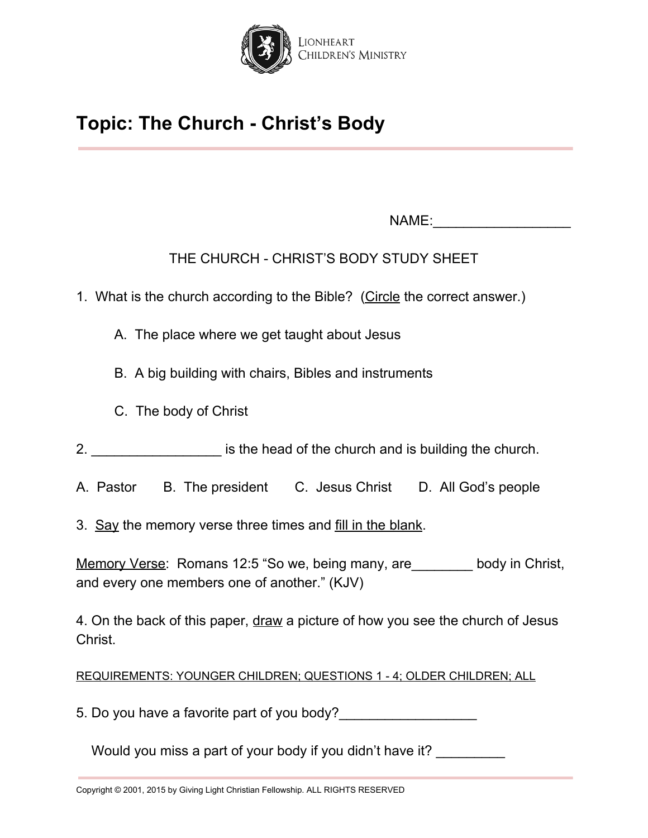

NAME:\_\_\_\_\_\_\_\_\_\_\_\_\_\_\_\_\_\_

THE CHURCH - CHRIST'S BODY STUDY SHEET

- 1. What is the church according to the Bible? (Circle the correct answer.)
	- A. The place where we get taught about Jesus
	- B. A big building with chairs, Bibles and instruments
	- C. The body of Christ
- 2. **Example 2. Example 2. Example 2. Example 2. is the head of the church and is building the church.**
- A. Pastor B. The president C. Jesus Christ D. All God's people
- 3. Say the memory verse three times and fill in the blank.

Memory Verse: Romans 12:5 "So we, being many, are body in Christ, and every one members one of another." (KJV)

4. On the back of this paper, draw a picture of how you see the church of Jesus Christ.

REQUIREMENTS: YOUNGER CHILDREN; QUESTIONS 1 - 4; OLDER CHILDREN; ALL

5. Do you have a favorite part of you body?

Would you miss a part of your body if you didn't have it?